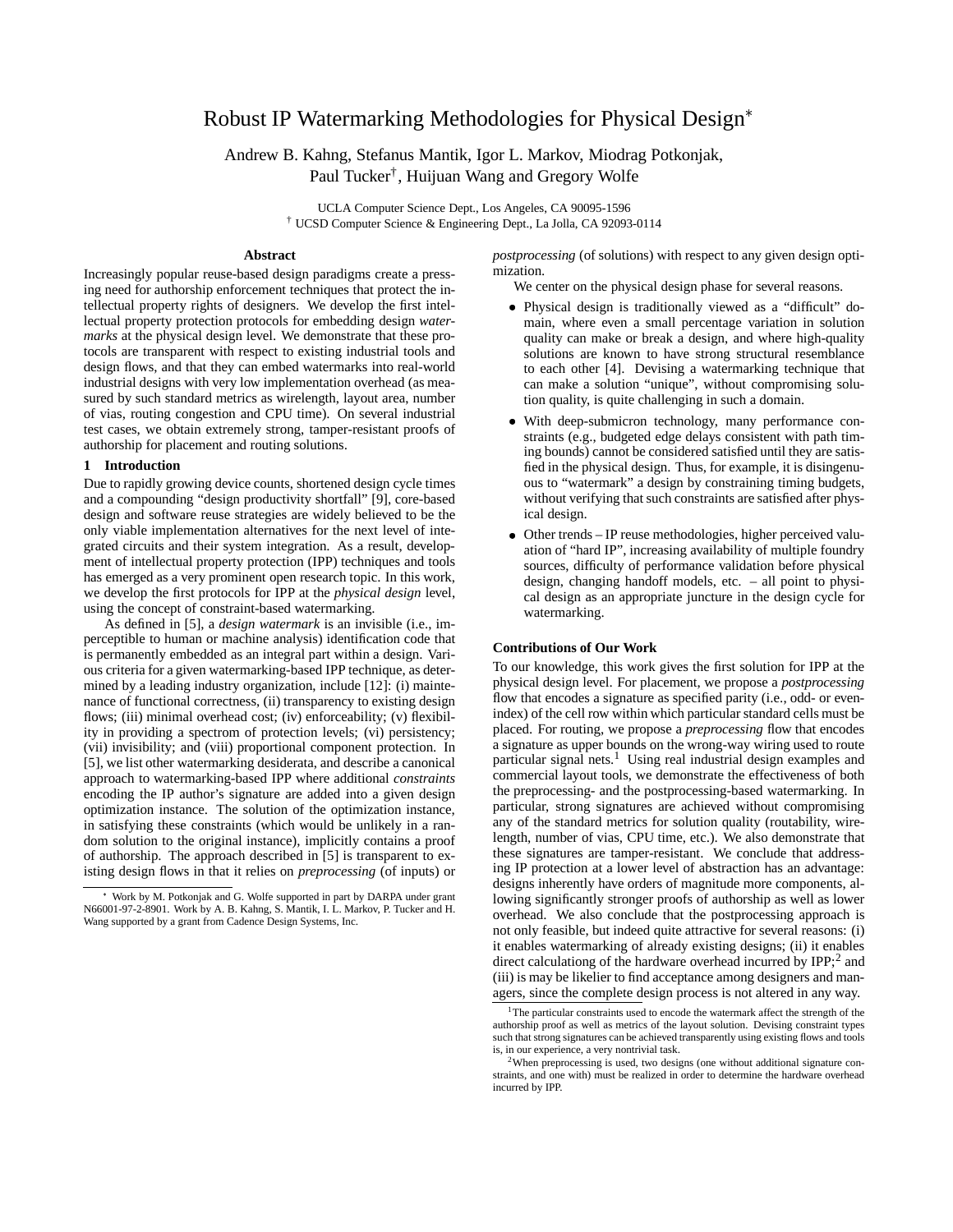# Robust IP Watermarking Methodologies for Physical Design

Andrew B. Kahng, Stefanus Mantik, Igor L. Markov, Miodrag Potkonjak, Paul Tucker† , Huijuan Wang and Gregory Wolfe

> UCLA Computer Science Dept., Los Angeles, CA 90095-1596 † UCSD Computer Science & Engineering Dept., La Jolla, CA 92093-0114

# **Abstract**

Increasingly popular reuse-based design paradigms create a pressing need for authorship enforcement techniques that protect the intellectual property rights of designers. We develop the first intellectual property protection protocols for embedding design *watermarks* at the physical design level. We demonstrate that these protocols are transparent with respect to existing industrial tools and design flows, and that they can embed watermarks into real-world industrial designs with very low implementation overhead (as measured by such standard metrics as wirelength, layout area, number of vias, routing congestion and CPU time). On several industrial test cases, we obtain extremely strong, tamper-resistant proofs of authorship for placement and routing solutions.

#### **1 Introduction**

Due to rapidly growing device counts, shortened design cycle times and a compounding "design productivity shortfall" [9], core-based design and software reuse strategies are widely believed to be the only viable implementation alternatives for the next level of integrated circuits and their system integration. As a result, development of intellectual property protection (IPP) techniques and tools has emerged as a very prominent open research topic. In this work, we develop the first protocols for IPP at the *physical design* level, using the concept of constraint-based watermarking.

As defined in [5], a *design watermark* is an invisible (i.e., imperceptible to human or machine analysis) identification code that is permanently embedded as an integral part within a design. Various criteria for a given watermarking-based IPP technique, as determined by a leading industry organization, include [12]: (i) maintenance of functional correctness, (ii) transparency to existing design flows; (iii) minimal overhead cost; (iv) enforceability; (v) flexibility in providing a spectrom of protection levels; (vi) persistency; (vii) invisibility; and (viii) proportional component protection. In [5], we list other watermarking desiderata, and describe a canonical approach to watermarking-based IPP where additional *constraints* encoding the IP author's signature are added into a given design optimization instance. The solution of the optimization instance, in satisfying these constraints (which would be unlikely in a random solution to the original instance), implicitly contains a proof of authorship. The approach described in [5] is transparent to existing design flows in that it relies on *preprocessing* (of inputs) or

*postprocessing* (of solutions) with respect to any given design optimization.

We center on the physical design phase for several reasons.

- Physical design is traditionally viewed as a "difficult" domain, where even a small percentage variation in solution quality can make or break a design, and where high-quality solutions are known to have strong structural resemblance to each other [4]. Devising a watermarking technique that can make a solution "unique", without compromising solution quality, is quite challenging in such a domain.
- With deep-submicron technology, many performance constraints (e.g., budgeted edge delays consistent with path timing bounds) cannot be considered satisfied until they are satisfied in the physical design. Thus, for example, it is disingenuous to "watermark" a design by constraining timing budgets, without verifying that such constraints are satisfied after physical design.
- Other trends IP reuse methodologies, higher perceived valuation of "hard IP", increasing availability of multiple foundry sources, difficulty of performance validation before physical design, changing handoff models, etc. – all point to physical design as an appropriate juncture in the design cycle for watermarking.

## **Contributions of Our Work**

To our knowledge, this work gives the first solution for IPP at the physical design level. For placement, we propose a *postprocessing* flow that encodes a signature as specified parity (i.e., odd- or evenindex) of the cell row within which particular standard cells must be placed. For routing, we propose a *preprocessing* flow that encodes a signature as upper bounds on the wrong-way wiring used to route particular signal nets.<sup>1</sup> Using real industrial design examples and commercial layout tools, we demonstrate the effectiveness of both the preprocessing- and the postprocessing-based watermarking. In particular, strong signatures are achieved without compromising any of the standard metrics for solution quality (routability, wirelength, number of vias, CPU time, etc.). We also demonstrate that these signatures are tamper-resistant. We conclude that addressing IP protection at a lower level of abstraction has an advantage: designs inherently have orders of magnitude more components, allowing significantly stronger proofs of authorship as well as lower overhead. We also conclude that the postprocessing approach is not only feasible, but indeed quite attractive for several reasons: (i) it enables watermarking of already existing designs; (ii) it enables direct calculationg of the hardware overhead incurred by IPP;<sup>2</sup> and (iii) is may be likelier to find acceptance among designers and managers, since the complete design process is not altered in any way.

Work by M. Potkonjak and G. Wolfe supported in part by DARPA under grant N66001-97-2-8901. Work by A. B. Kahng, S. Mantik, I. L. Markov, P. Tucker and H. Wang supported by a grant from Cadence Design Systems, Inc.

<sup>&</sup>lt;sup>1</sup>The particular constraints used to encode the watermark affect the strength of the authorship proof as well as metrics of the layout solution. Devising constraint types such that strong signatures can be achieved transparently using existing flows and tools is, in our experience, a very nontrivial task.

<sup>&</sup>lt;sup>2</sup>When preprocessing is used, two designs (one without additional signature constraints, and one with) must be realized in order to determine the hardware overhead incurred by IPP.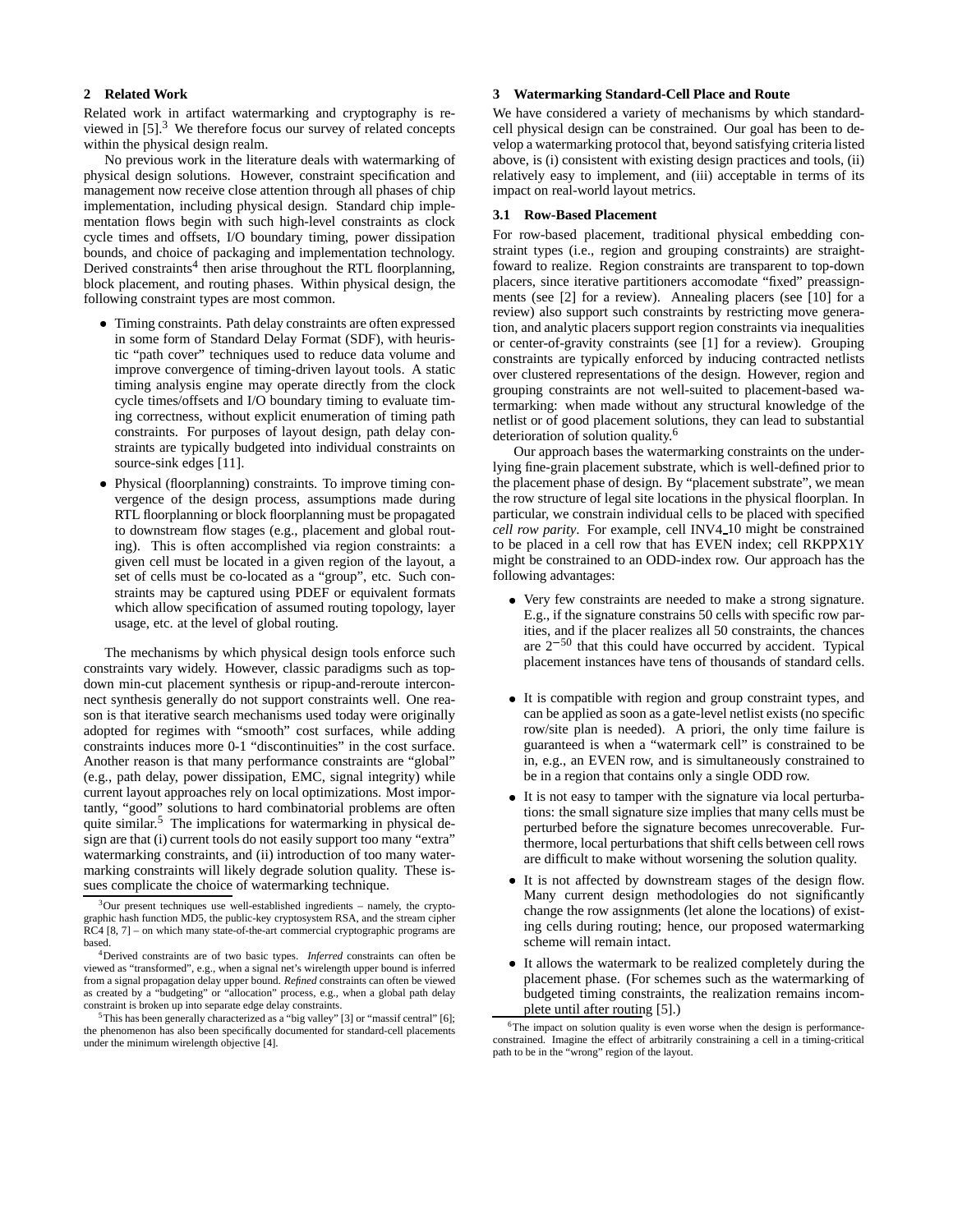# **2 Related Work**

Related work in artifact watermarking and cryptography is reviewed in  $[5]^3$ . We therefore focus our survey of related concepts within the physical design realm.

No previous work in the literature deals with watermarking of physical design solutions. However, constraint specification and management now receive close attention through all phases of chip implementation, including physical design. Standard chip implementation flows begin with such high-level constraints as clock cycle times and offsets, I/O boundary timing, power dissipation bounds, and choice of packaging and implementation technology. Derived constraints<sup>4</sup> then arise throughout the RTL floorplanning, block placement, and routing phases. Within physical design, the following constraint types are most common.

- Timing constraints. Path delay constraints are often expressed in some form of Standard Delay Format (SDF), with heuristic "path cover" techniques used to reduce data volume and improve convergence of timing-driven layout tools. A static timing analysis engine may operate directly from the clock cycle times/offsets and I/O boundary timing to evaluate timing correctness, without explicit enumeration of timing path constraints. For purposes of layout design, path delay constraints are typically budgeted into individual constraints on source-sink edges [11].
- Physical (floorplanning) constraints. To improve timing convergence of the design process, assumptions made during RTL floorplanning or block floorplanning must be propagated to downstream flow stages (e.g., placement and global routing). This is often accomplished via region constraints: a given cell must be located in a given region of the layout, a set of cells must be co-located as a "group", etc. Such constraints may be captured using PDEF or equivalent formats which allow specification of assumed routing topology, layer usage, etc. at the level of global routing.

The mechanisms by which physical design tools enforce such constraints vary widely. However, classic paradigms such as topdown min-cut placement synthesis or ripup-and-reroute interconnect synthesis generally do not support constraints well. One reason is that iterative search mechanisms used today were originally adopted for regimes with "smooth" cost surfaces, while adding constraints induces more 0-1 "discontinuities" in the cost surface. Another reason is that many performance constraints are "global" (e.g., path delay, power dissipation, EMC, signal integrity) while current layout approaches rely on local optimizations. Most importantly, "good" solutions to hard combinatorial problems are often quite similar.<sup>5</sup> The implications for watermarking in physical design are that (i) current tools do not easily support too many "extra" watermarking constraints, and (ii) introduction of too many watermarking constraints will likely degrade solution quality. These issues complicate the choice of watermarking technique.

## **3 Watermarking Standard-Cell Place and Route**

We have considered a variety of mechanisms by which standardcell physical design can be constrained. Our goal has been to develop a watermarking protocol that, beyond satisfying criteria listed above, is (i) consistent with existing design practices and tools, (ii) relatively easy to implement, and (iii) acceptable in terms of its impact on real-world layout metrics.

#### **3.1 Row-Based Placement**

For row-based placement, traditional physical embedding constraint types (i.e., region and grouping constraints) are straightfoward to realize. Region constraints are transparent to top-down placers, since iterative partitioners accomodate "fixed" preassignments (see [2] for a review). Annealing placers (see [10] for a review) also support such constraints by restricting move generation, and analytic placers support region constraints via inequalities or center-of-gravity constraints (see [1] for a review). Grouping constraints are typically enforced by inducing contracted netlists over clustered representations of the design. However, region and grouping constraints are not well-suited to placement-based watermarking: when made without any structural knowledge of the netlist or of good placement solutions, they can lead to substantial deterioration of solution quality.<sup>6</sup>

Our approach bases the watermarking constraints on the underlying fine-grain placement substrate, which is well-defined prior to the placement phase of design. By "placement substrate", we mean the row structure of legal site locations in the physical floorplan. In particular, we constrain individual cells to be placed with specified *cell row parity*. For example, cell INV4 10 might be constrained to be placed in a cell row that has EVEN index; cell RKPPX1Y might be constrained to an ODD-index row. Our approach has the following advantages:

- Very few constraints are needed to make a strong signature. E.g., if the signature constrains 50 cells with specific row parities, and if the placer realizes all 50 constraints, the chances are  $2^{-50}$  that this could have occurred by accident. Typical placement instances have tens of thousands of standard cells.
- It is compatible with region and group constraint types, and can be applied as soon as a gate-level netlist exists (no specific row/site plan is needed). A priori, the only time failure is guaranteed is when a "watermark cell" is constrained to be in, e.g., an EVEN row, and is simultaneously constrained to be in a region that contains only a single ODD row.
- It is not easy to tamper with the signature via local perturbations: the small signature size implies that many cells must be perturbed before the signature becomes unrecoverable. Furthermore, local perturbations that shift cells between cell rows are difficult to make without worsening the solution quality.
- It is not affected by downstream stages of the design flow. Many current design methodologies do not significantly change the row assignments (let alone the locations) of existing cells during routing; hence, our proposed watermarking scheme will remain intact.
- It allows the watermark to be realized completely during the placement phase. (For schemes such as the watermarking of budgeted timing constraints, the realization remains incomplete until after routing [5].)

<sup>&</sup>lt;sup>3</sup>Our present techniques use well-established ingredients – namely, the cryptographic hash function MD5, the public-key cryptosystem RSA, and the stream cipher RC4 [8, 7] – on which many state-of-the-art commercial cryptographic programs are based.

<sup>4</sup>Derived constraints are of two basic types. *Inferred* constraints can often be viewed as "transformed", e.g., when a signal net's wirelength upper bound is inferred from a signal propagation delay upper bound. *Refined* constraints can often be viewed as created by a "budgeting" or "allocation" process, e.g., when a global path delay constraint is broken up into separate edge delay constraints.

<sup>&</sup>lt;sup>5</sup>This has been generally characterized as a "big valley" [3] or "massif central" [6]; the phenomenon has also been specifically documented for standard-cell placements under the minimum wirelength objective [4].

<sup>&</sup>lt;sup>6</sup>The impact on solution quality is even worse when the design is performanceconstrained. Imagine the effect of arbitrarily constraining a cell in a timing-critical path to be in the "wrong" region of the layout.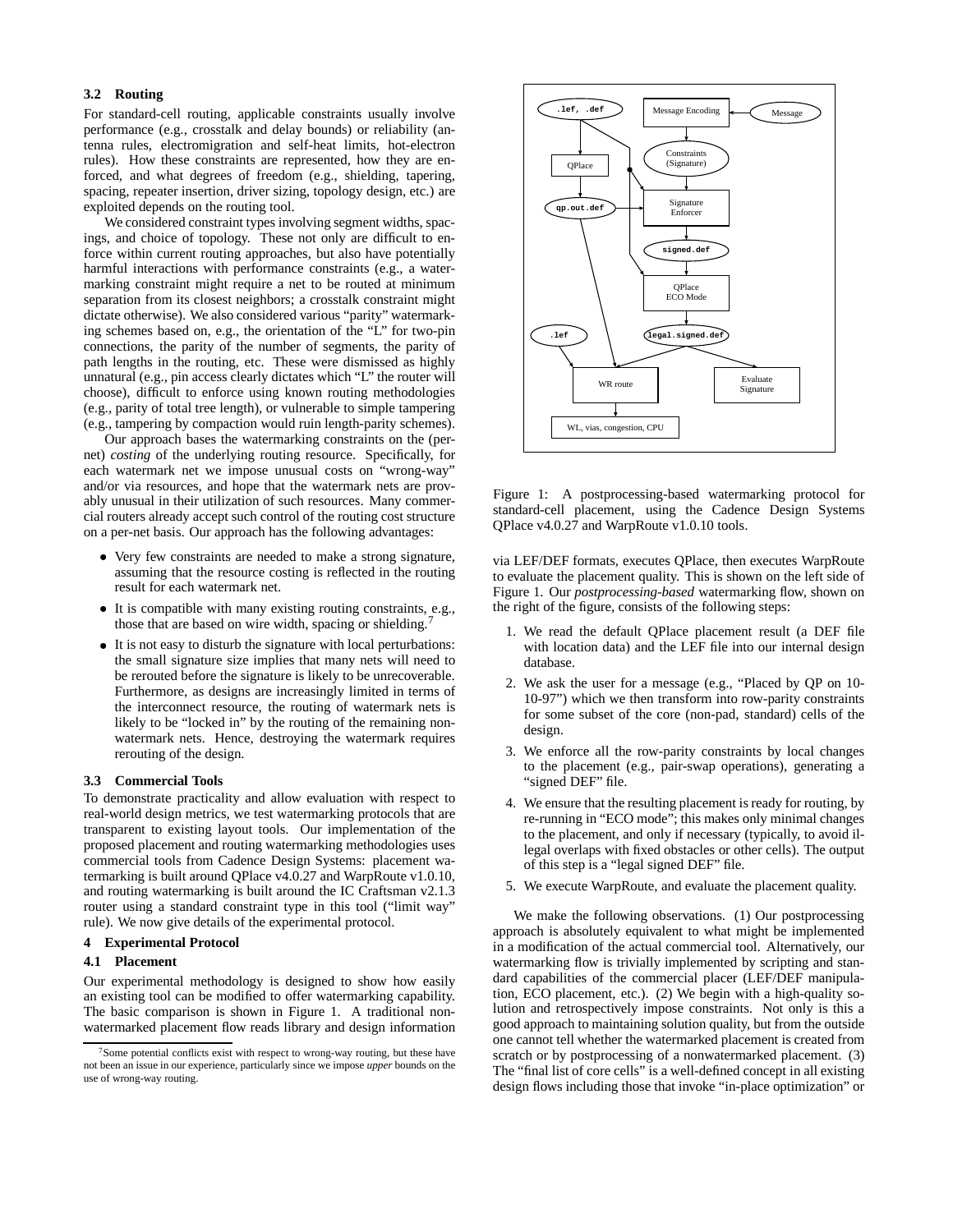## **3.2 Routing**

For standard-cell routing, applicable constraints usually involve performance (e.g., crosstalk and delay bounds) or reliability (antenna rules, electromigration and self-heat limits, hot-electron rules). How these constraints are represented, how they are enforced, and what degrees of freedom (e.g., shielding, tapering, spacing, repeater insertion, driver sizing, topology design, etc.) are exploited depends on the routing tool.

We considered constraint types involving segment widths, spacings, and choice of topology. These not only are difficult to enforce within current routing approaches, but also have potentially harmful interactions with performance constraints (e.g., a watermarking constraint might require a net to be routed at minimum separation from its closest neighbors; a crosstalk constraint might dictate otherwise). We also considered various "parity" watermarking schemes based on, e.g., the orientation of the "L" for two-pin connections, the parity of the number of segments, the parity of path lengths in the routing, etc. These were dismissed as highly unnatural (e.g., pin access clearly dictates which "L" the router will choose), difficult to enforce using known routing methodologies (e.g., parity of total tree length), or vulnerable to simple tampering (e.g., tampering by compaction would ruin length-parity schemes).

Our approach bases the watermarking constraints on the (pernet) *costing* of the underlying routing resource. Specifically, for each watermark net we impose unusual costs on "wrong-way" and/or via resources, and hope that the watermark nets are provably unusual in their utilization of such resources. Many commercial routers already accept such control of the routing cost structure on a per-net basis. Our approach has the following advantages:

- Very few constraints are needed to make a strong signature, assuming that the resource costing is reflected in the routing result for each watermark net.
- It is compatible with many existing routing constraints, e.g., those that are based on wire width, spacing or shielding.
- It is not easy to disturb the signature with local perturbations: the small signature size implies that many nets will need to be rerouted before the signature is likely to be unrecoverable. Furthermore, as designs are increasingly limited in terms of the interconnect resource, the routing of watermark nets is likely to be "locked in" by the routing of the remaining nonwatermark nets. Hence, destroying the watermark requires rerouting of the design.

## **3.3 Commercial Tools**

To demonstrate practicality and allow evaluation with respect to real-world design metrics, we test watermarking protocols that are transparent to existing layout tools. Our implementation of the proposed placement and routing watermarking methodologies uses commercial tools from Cadence Design Systems: placement watermarking is built around QPlace v4.0.27 and WarpRoute v1.0.10, and routing watermarking is built around the IC Craftsman v2.1.3 router using a standard constraint type in this tool ("limit way" rule). We now give details of the experimental protocol.

#### **4 Experimental Protocol**

#### **4.1 Placement**

Our experimental methodology is designed to show how easily an existing tool can be modified to offer watermarking capability. The basic comparison is shown in Figure 1. A traditional nonwatermarked placement flow reads library and design information



Figure 1: A postprocessing-based watermarking protocol for standard-cell placement, using the Cadence Design Systems QPlace v4.0.27 and WarpRoute v1.0.10 tools.

via LEF/DEF formats, executes QPlace, then executes WarpRoute to evaluate the placement quality. This is shown on the left side of Figure 1. Our *postprocessing-based* watermarking flow, shown on the right of the figure, consists of the following steps:

- 1. We read the default QPlace placement result (a DEF file with location data) and the LEF file into our internal design database.
- 2. We ask the user for a message (e.g., "Placed by QP on 10- 10-97") which we then transform into row-parity constraints for some subset of the core (non-pad, standard) cells of the design.
- 3. We enforce all the row-parity constraints by local changes to the placement (e.g., pair-swap operations), generating a "signed DEF" file.
- 4. We ensure that the resulting placement is ready for routing, by re-running in "ECO mode"; this makes only minimal changes to the placement, and only if necessary (typically, to avoid illegal overlaps with fixed obstacles or other cells). The output of this step is a "legal signed DEF" file.
- 5. We execute WarpRoute, and evaluate the placement quality.

We make the following observations. (1) Our postprocessing approach is absolutely equivalent to what might be implemented in a modification of the actual commercial tool. Alternatively, our watermarking flow is trivially implemented by scripting and standard capabilities of the commercial placer (LEF/DEF manipulation, ECO placement, etc.). (2) We begin with a high-quality solution and retrospectively impose constraints. Not only is this a good approach to maintaining solution quality, but from the outside one cannot tell whether the watermarked placement is created from scratch or by postprocessing of a nonwatermarked placement. (3) The "final list of core cells" is a well-defined concept in all existing design flows including those that invoke "in-place optimization" or

 $7$ Some potential conflicts exist with respect to wrong-way routing, but these have not been an issue in our experience, particularly since we impose *upper* bounds on the use of wrong-way routing.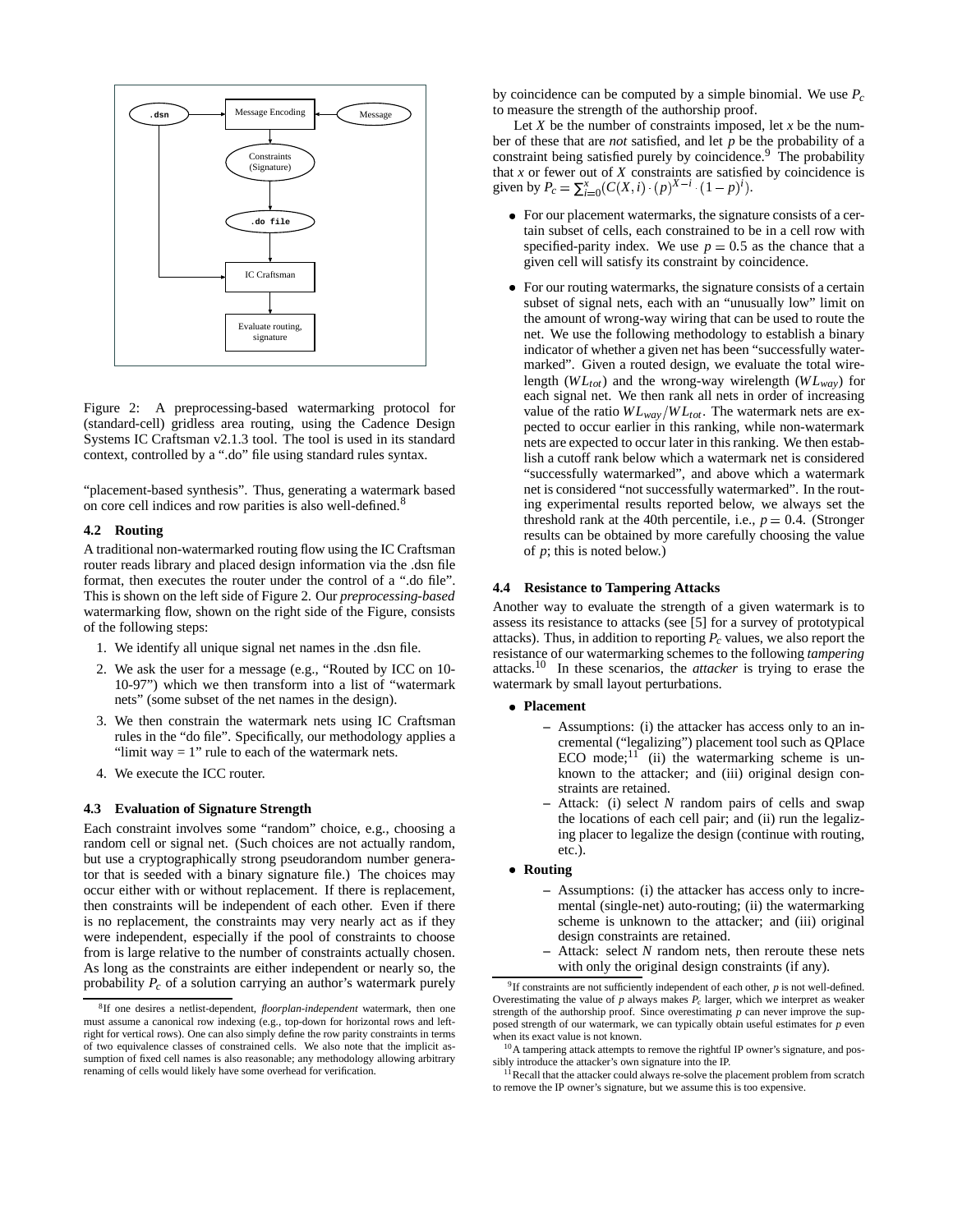

Figure 2: A preprocessing-based watermarking protocol for (standard-cell) gridless area routing, using the Cadence Design Systems IC Craftsman v2.1.3 tool. The tool is used in its standard context, controlled by a ".do" file using standard rules syntax.

"placement-based synthesis". Thus, generating a watermark based on core cell indices and row parities is also well-defined.<sup>8</sup>

## **4.2 Routing**

A traditional non-watermarked routing flow using the IC Craftsman router reads library and placed design information via the .dsn file format, then executes the router under the control of a ".do file". This is shown on the left side of Figure 2. Our *preprocessing-based* watermarking flow, shown on the right side of the Figure, consists of the following steps:

- 1. We identify all unique signal net names in the .dsn file.
- 2. We ask the user for a message (e.g., "Routed by ICC on 10- 10-97") which we then transform into a list of "watermark nets" (some subset of the net names in the design).
- 3. We then constrain the watermark nets using IC Craftsman rules in the "do file". Specifically, our methodology applies a "limit way  $= 1$ " rule to each of the watermark nets.
- 4. We execute the ICC router.

#### **4.3 Evaluation of Signature Strength**

Each constraint involves some "random" choice, e.g., choosing a random cell or signal net. (Such choices are not actually random, but use a cryptographically strong pseudorandom number generator that is seeded with a binary signature file.) The choices may occur either with or without replacement. If there is replacement, then constraints will be independent of each other. Even if there is no replacement, the constraints may very nearly act as if they were independent, especially if the pool of constraints to choose from is large relative to the number of constraints actually chosen. As long as the constraints are either independent or nearly so, the probability *Pc* of a solution carrying an author's watermark purely

by coincidence can be computed by a simple binomial. We use *Pc* to measure the strength of the authorship proof.

Let  $X$  be the number of constraints imposed, let  $x$  be the number of these that are *not* satisfied, and let *p* be the probability of a constraint being satisfied purely by coincidence.<sup>9</sup> The probability that  $x$  or fewer out of  $X$  constraints are satisfied by coincidence is given by  $P_c = \sum_{i=0}^{x} (C(X, i) \cdot (p)^{X-i} \cdot (1-p)^i)$ .

- For our placement watermarks, the signature consists of a certain subset of cells, each constrained to be in a cell row with specified-parity index. We use  $p = 0.5$  as the chance that a given cell will satisfy its constraint by coincidence.
- For our routing watermarks, the signature consists of a certain subset of signal nets, each with an "unusually low" limit on the amount of wrong-way wiring that can be used to route the net. We use the following methodology to establish a binary indicator of whether a given net has been "successfully watermarked". Given a routed design, we evaluate the total wirelength (*WLtot*) and the wrong-way wirelength (*WLway*) for each signal net. We then rank all nets in order of increasing value of the ratio  $WL_{way}/WL_{tot}$ . The watermark nets are expected to occur earlier in this ranking, while non-watermark nets are expected to occur later in this ranking. We then establish a cutoff rank below which a watermark net is considered "successfully watermarked", and above which a watermark net is considered "not successfully watermarked". In the routing experimental results reported below, we always set the threshold rank at the 40th percentile, i.e.,  $p = 0.4$ . (Stronger results can be obtained by more carefully choosing the value of *p*; this is noted below.)

# **4.4 Resistance to Tampering Attacks**

Another way to evaluate the strength of a given watermark is to assess its resistance to attacks (see [5] for a survey of prototypical attacks). Thus, in addition to reporting *Pc* values, we also report the resistance of our watermarking schemes to the following *tampering* attacks.<sup>10</sup> In these scenarios, the *attacker* is trying to erase the watermark by small layout perturbations.

#### - **Placement**

- **–** Assumptions: (i) the attacker has access only to an incremental ("legalizing") placement tool such as QPlace ECO mode; $11$  (ii) the watermarking scheme is unknown to the attacker; and (iii) original design constraints are retained.
- **–** Attack: (i) select *N* random pairs of cells and swap the locations of each cell pair; and (ii) run the legalizing placer to legalize the design (continue with routing, etc.).
- **Routing**
	- **–** Assumptions: (i) the attacker has access only to incremental (single-net) auto-routing; (ii) the watermarking scheme is unknown to the attacker; and (iii) original design constraints are retained.
	- **–** Attack: select *N* random nets, then reroute these nets with only the original design constraints (if any).

<sup>8</sup> If one desires a netlist-dependent, *floorplan-independent* watermark, then one must assume a canonical row indexing (e.g., top-down for horizontal rows and leftright for vertical rows). One can also simply define the row parity constraints in terms of two equivalence classes of constrained cells. We also note that the implicit assumption of fixed cell names is also reasonable; any methodology allowing arbitrary renaming of cells would likely have some overhead for verification.

<sup>&</sup>lt;sup>9</sup>If constraints are not sufficiently independent of each other,  $p$  is not well-defined. Overestimating the value of  $p$  always makes  $P_c$  larger, which we interpret as weaker strength of the authorship proof. Since overestimating *p* can never improve the supposed strength of our watermark, we can typically obtain useful estimates for *p* even when its exact value is not known.

 $10$ A tampering attack attempts to remove the rightful IP owner's signature, and possibly introduce the attacker's own signature into the IP.

<sup>&</sup>lt;sup>11</sup>Recall that the attacker could always re-solve the placement problem from scratch to remove the IP owner's signature, but we assume this is too expensive.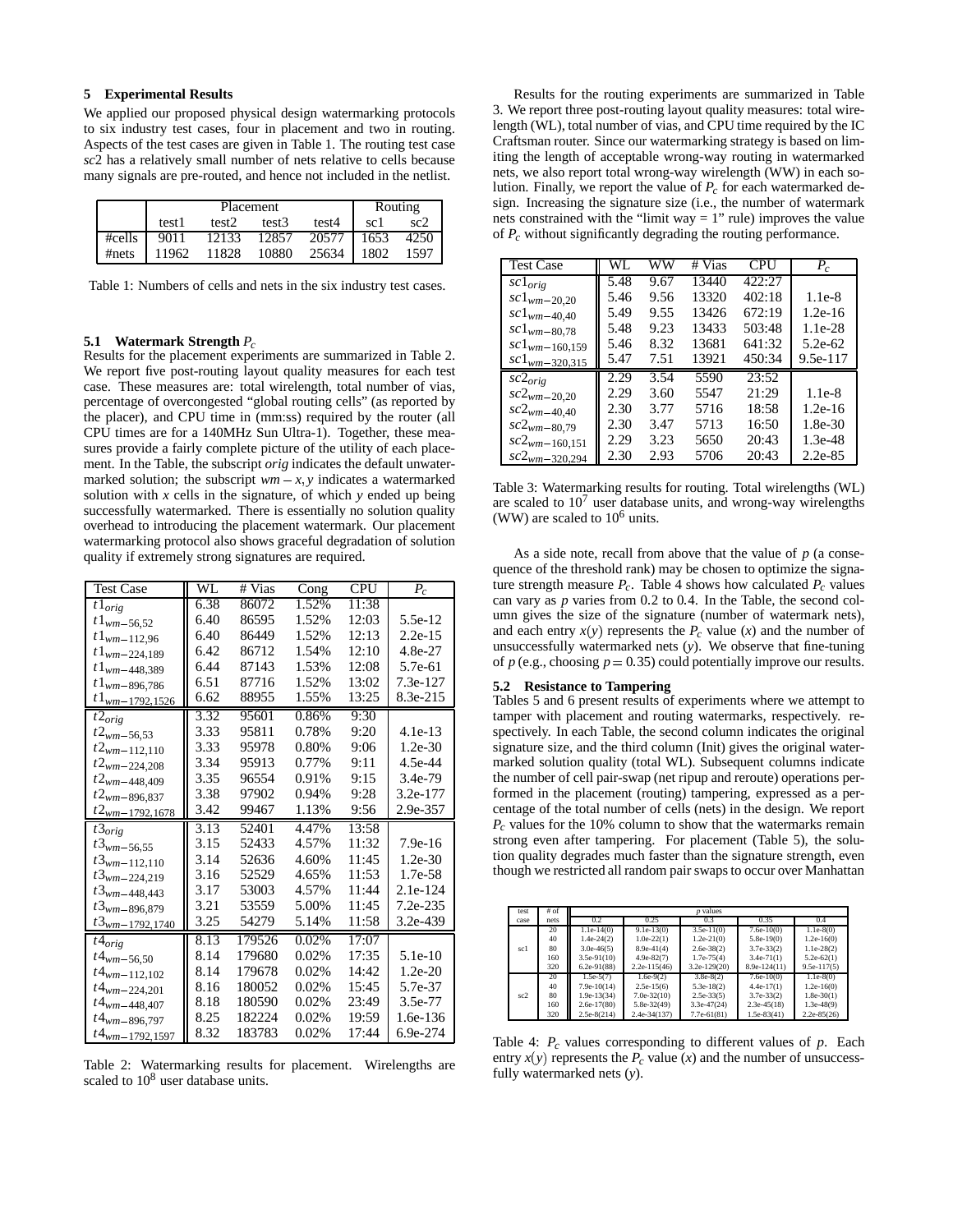## **5 Experimental Results**

We applied our proposed physical design watermarking protocols to six industry test cases, four in placement and two in routing. Aspects of the test cases are given in Table 1. The routing test case *sc*2 has a relatively small number of nets relative to cells because many signals are pre-routed, and hence not included in the netlist.

|        |       | Routing |                   |       |      |                 |
|--------|-------|---------|-------------------|-------|------|-----------------|
|        | test1 | test2   | test <sub>3</sub> | test4 | sc l | sc <sub>2</sub> |
| #cells | 9011  | 12133   | 12857             | 20577 | 1653 | 4250            |
| #nets  | 11962 | 11828   | 10880             | 25634 | 1802 | 1597            |

Table 1: Numbers of cells and nets in the six industry test cases.

# **5.1 Watermark Strength** *Pc*

Results for the placement experiments are summarized in Table 2. We report five post-routing layout quality measures for each test case. These measures are: total wirelength, total number of vias, percentage of overcongested "global routing cells" (as reported by the placer), and CPU time in (mm:ss) required by the router (all CPU times are for a 140MHz Sun Ultra-1). Together, these measures provide a fairly complete picture of the utility of each placement. In the Table, the subscript *orig* indicates the default unwatermarked solution; the subscript  $wm - x$ , *y* indicates a watermarked solution with *x* cells in the signature, of which *y* ended up being successfully watermarked. There is essentially no solution quality overhead to introducing the placement watermark. Our placement watermarking protocol also shows graceful degradation of solution quality if extremely strong signatures are required.

| <b>Test Case</b>           | WL.  | # Vias | Cong     | <b>CPU</b> | $P_c$     |
|----------------------------|------|--------|----------|------------|-----------|
| $\overline{t}1_{orig}$     | 6.38 | 86072  | 1.52%    | 11:38      |           |
| $t1_{wm-56,52}$            | 6.40 | 86595  | 1.52%    | 12:03      | 5.5e-12   |
| $t1_{wm-112,96}$           | 6.40 | 86449  | 1.52%    | 12:13      | $2.2e-15$ |
| $t1_{wm=224,189}$          | 6.42 | 86712  | 1.54%    | 12:10      | 4.8e-27   |
| $t1_{wm=448,389}$          | 6.44 | 87143  | 1.53%    | 12:08      | 5.7e-61   |
| $t1_{wm=896,786}$          | 6.51 | 87716  | 1.52%    | 13:02      | 7.3e-127  |
| $t1_{wm-1792,1526}$        | 6.62 | 88955  | 1.55%    | 13:25      | 8.3e-215  |
| $t2_{orig}$                | 3.32 | 95601  | 0.86%    | 9:30       |           |
| $t2_{wm-56,53}$            | 3.33 | 95811  | 0.78%    | 9:20       | $4.1e-13$ |
| $t2_{wm-112,110}$          | 3.33 | 95978  | 0.80%    | 9:06       | $1.2e-30$ |
| $t2_{wm-224,208}$          | 3.34 | 95913  | $0.77\%$ | 9:11       | 4.5e-44   |
| $t2_{wm=448,409}$          | 3.35 | 96554  | 0.91%    | 9:15       | 3.4e-79   |
| $t2_{wm=896,837}$          | 3.38 | 97902  | 0.94%    | 9:28       | 3.2e-177  |
| $t2_{wm-1792,1678}$        | 3.42 | 99467  | 1.13%    | 9:56       | 2.9e-357  |
| t3 <sub>orig</sub>         | 3.13 | 52401  | 4.47%    | 13:58      |           |
| $t_{wm-56,55}$             | 3.15 | 52433  | 4.57%    | 11:32      | $7.9e-16$ |
| $t3_{wm-112,110}$          | 3.14 | 52636  | 4.60%    | 11:45      | $1.2e-30$ |
| $t3_{wm-224,219}$          | 3.16 | 52529  | 4.65%    | 11:53      | 1.7e-58   |
| $t3_{wm-448,443}$          | 3.17 | 53003  | 4.57%    | 11:44      | 2.1e-124  |
| $t3_{wm-896,879}$          | 3.21 | 53559  | 5.00%    | 11:45      | 7.2e-235  |
| $t3_{wm-1792,1740}$        | 3.25 | 54279  | 5.14%    | 11:58      | 3.2e-439  |
| $t4_{orig}$                | 8.13 | 179526 | 0.02%    | 17:07      |           |
| $t4_{wm-56,50}$            | 8.14 | 179680 | 0.02%    | 17:35      | $5.1e-10$ |
| $t4_{wm-112,102}$          | 8.14 | 179678 | 0.02%    | 14:42      | $1.2e-20$ |
| $t4_{wm-224,201}$          | 8.16 | 180052 | 0.02%    | 15:45      | 5.7e-37   |
| $t4_{wm=448,407}$          | 8.18 | 180590 | 0.02%    | 23:49      | 3.5e-77   |
| $t4_{wm=896,797}$          | 8.25 | 182224 | 0.02%    | 19:59      | 1.6e-136  |
| t4 <sub>wm–1792,1597</sub> | 8.32 | 183783 | 0.02%    | 17:44      | 6.9e-274  |

Table 2: Watermarking results for placement. Wirelengths are scaled to  $10^8$  user database units.

Results for the routing experiments are summarized in Table 3. We report three post-routing layout quality measures: total wirelength (WL), total number of vias, and CPU time required by the IC Craftsman router. Since our watermarking strategy is based on limiting the length of acceptable wrong-way routing in watermarked nets, we also report total wrong-way wirelength (WW) in each solution. Finally, we report the value of *Pc* for each watermarked design. Increasing the signature size (i.e., the number of watermark nets constrained with the "limit way  $= 1$ " rule) improves the value of *Pc* without significantly degrading the routing performance.

| <b>Test Case</b>   | WL.  | ww   | # Vias | <b>CPU</b> | $P_c$     |
|--------------------|------|------|--------|------------|-----------|
| $sc1_{orig}$       | 5.48 | 9.67 | 13440  | 422:27     |           |
| $sc1_{wm-20,20}$   | 5.46 | 9.56 | 13320  | 402:18     | $1.1e-8$  |
| $sc1_{wm=40,40}$   | 5.49 | 9.55 | 13426  | 672:19     | $1.2e-16$ |
| $sc1_{wm-80,78}$   | 5.48 | 9.23 | 13433  | 503:48     | 1.1e-28   |
| $sc1_{wm-160,159}$ | 5.46 | 8.32 | 13681  | 641:32     | $5.2e-62$ |
| $sc1_{wm-320,315}$ | 5.47 | 7.51 | 13921  | 450:34     | 9.5e-117  |
| $sc2_{orig}$       | 2.29 | 3.54 | 5590   | 23:52      |           |
| $sc2_{wm-20,20}$   | 2.29 | 3.60 | 5547   | 21:29      | $1.1e-8$  |
| $sc2_{wm-40,40}$   | 2.30 | 3.77 | 5716   | 18:58      | $1.2e-16$ |
| $sc2_{wm-80,79}$   | 2.30 | 3.47 | 5713   | 16:50      | $1.8e-30$ |
| $sc2_{wm-160,151}$ | 2.29 | 3.23 | 5650   | 20:43      | $1.3e-48$ |
| $sc2_{wm-320,294}$ | 2.30 | 2.93 | 5706   | 20:43      | $2.2e-85$ |

Table 3: Watermarking results for routing. Total wirelengths (WL) are scaled to  $10<sup>7</sup>$  user database units, and wrong-way wirelengths (WW) are scaled to  $10^6$  units.

As a side note, recall from above that the value of *p* (a consequence of the threshold rank) may be chosen to optimize the signature strength measure  $P_c$ . Table 4 shows how calculated  $P_c$  values can vary as  $p$  varies from  $0.2$  to  $0.4$ . In the Table, the second column gives the size of the signature (number of watermark nets), and each entry  $x(y)$  represents the  $P_c$  value  $(x)$  and the number of unsuccessfully watermarked nets (*y*). We observe that fine-tuning of  $p$  (e.g., choosing  $p = 0.35$ ) could potentially improve our results.

# **5.2 Resistance to Tampering**

Tables 5 and 6 present results of experiments where we attempt to tamper with placement and routing watermarks, respectively. respectively. In each Table, the second column indicates the original signature size, and the third column (Init) gives the original watermarked solution quality (total WL). Subsequent columns indicate the number of cell pair-swap (net ripup and reroute) operations performed in the placement (routing) tampering, expressed as a percentage of the total number of cells (nets) in the design. We report *Pc* values for the 10% column to show that the watermarks remain strong even after tampering. For placement (Table 5), the solution quality degrades much faster than the signature strength, even though we restricted all random pair swaps to occur over Manhattan

| test | # of | $p$ values    |                |                |               |               |  |  |  |  |
|------|------|---------------|----------------|----------------|---------------|---------------|--|--|--|--|
| case | nets | 0.2           | 0.25           | 0.3            | 0.35          | 0.4           |  |  |  |  |
|      | 20   | $1.1e-14(0)$  | $9.1e-13(0)$   | $3.5e-11(0)$   | $7.6e-10(0)$  | $1.1e-8(0)$   |  |  |  |  |
|      | 40   | $1.4e-24(2)$  | $1.0e-22(1)$   | $1.2e-21(0)$   | $5.8e-19(0)$  | $1.2e-16(0)$  |  |  |  |  |
| sc1  | 80   | $3.0e-46(5)$  | $8.9e-41(4)$   | $2.6e-38(2)$   | $3.7e-33(2)$  | $1.1e-28(2)$  |  |  |  |  |
|      | 160  | $3.5e-91(10)$ | $4.9e-82(7)$   | $1.7e-75(4)$   | $3.4e-71(1)$  | $5.2e-62(1)$  |  |  |  |  |
|      | 320  | $6.2e-91(88)$ | $2.2e-115(46)$ | $3.2e-129(20)$ | 8.9e-124(11)  | $9.5e-117(5)$ |  |  |  |  |
|      | 20   | $1.5e-5(7)$   | $1.6e-9(2)$    | $3.8e-8(2)$    | $7.6e-10(0)$  | $1.1e-8(0)$   |  |  |  |  |
|      | 40   | $7.9e-10(14)$ | $2.5e-15(6)$   | $5.3e-18(2)$   | $4.4e-17(1)$  | $1.2e-16(0)$  |  |  |  |  |
| sc2  | 80   | $1.9e-13(34)$ | $7.0e-32(10)$  | $2.5e-33(5)$   | $3.7e-33(2)$  | $1.8e-30(1)$  |  |  |  |  |
|      | 160  | $2.6e-17(80)$ | $5.8e-32(49)$  | $3.3e-47(24)$  | $2.3e-45(18)$ | $1.3e-48(9)$  |  |  |  |  |
|      | 320  | $2.5e-8(214)$ | $2.4e-34(137)$ | $7.7e-61(81)$  | $1.5e-83(41)$ | $2.2e-85(26)$ |  |  |  |  |

Table 4:  $P_c$  values corresponding to different values of  $p$ . Each entry  $x(y)$  represents the  $P_c$  value  $(x)$  and the number of unsuccessfully watermarked nets (*y*).